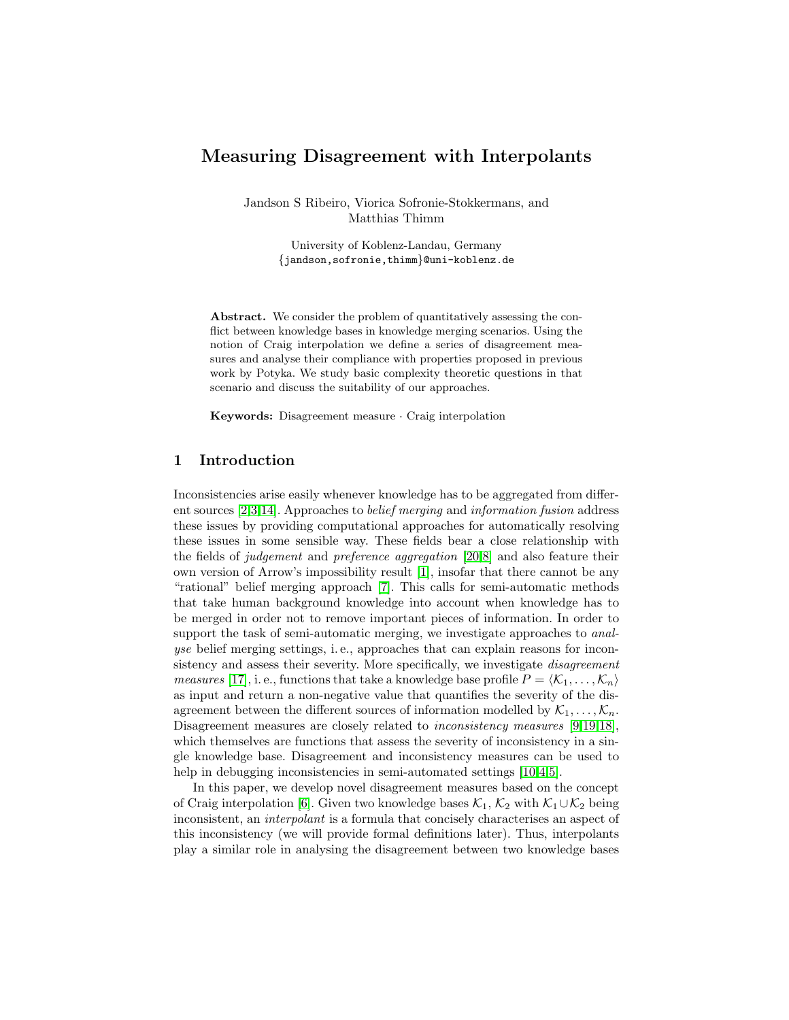# Measuring Disagreement with Interpolants

Jandson S Ribeiro, Viorica Sofronie-Stokkermans, and Matthias Thimm

> University of Koblenz-Landau, Germany {jandson,sofronie,thimm}@uni-koblenz.de

Abstract. We consider the problem of quantitatively assessing the conflict between knowledge bases in knowledge merging scenarios. Using the notion of Craig interpolation we define a series of disagreement measures and analyse their compliance with properties proposed in previous work by Potyka. We study basic complexity theoretic questions in that scenario and discuss the suitability of our approaches.

Keywords: Disagreement measure · Craig interpolation

# 1 Introduction

Inconsistencies arise easily whenever knowledge has to be aggregated from different sources [\[2,](#page-11-0)[3](#page-11-1)[,14\]](#page-12-0). Approaches to belief merging and information fusion address these issues by providing computational approaches for automatically resolving these issues in some sensible way. These fields bear a close relationship with the fields of judgement and preference aggregation [\[20,](#page-12-1)[8\]](#page-12-2) and also feature their own version of Arrow's impossibility result [\[1\]](#page-11-2), insofar that there cannot be any "rational" belief merging approach [\[7\]](#page-12-3). This calls for semi-automatic methods that take human background knowledge into account when knowledge has to be merged in order not to remove important pieces of information. In order to support the task of semi-automatic merging, we investigate approaches to *anal*yse belief merging settings, i. e., approaches that can explain reasons for inconsistency and assess their severity. More specifically, we investigate *disagreement measures* [\[17\]](#page-12-4), i. e., functions that take a knowledge base profile  $P = \langle K_1, \ldots, K_n \rangle$ as input and return a non-negative value that quantifies the severity of the disagreement between the different sources of information modelled by  $\mathcal{K}_1, \ldots, \mathcal{K}_n$ . Disagreement measures are closely related to *inconsistency measures* [\[9,](#page-12-5)[19](#page-12-6)[,18\]](#page-12-7), which themselves are functions that assess the severity of inconsistency in a single knowledge base. Disagreement and inconsistency measures can be used to help in debugging inconsistencies in semi-automated settings [\[10,](#page-12-8)[4](#page-11-3)[,5\]](#page-12-9).

In this paper, we develop novel disagreement measures based on the concept of Craig interpolation [\[6\]](#page-12-10). Given two knowledge bases  $\mathcal{K}_1$ ,  $\mathcal{K}_2$  with  $\mathcal{K}_1 \cup \mathcal{K}_2$  being inconsistent, an interpolant is a formula that concisely characterises an aspect of this inconsistency (we will provide formal definitions later). Thus, interpolants play a similar role in analysing the disagreement between two knowledge bases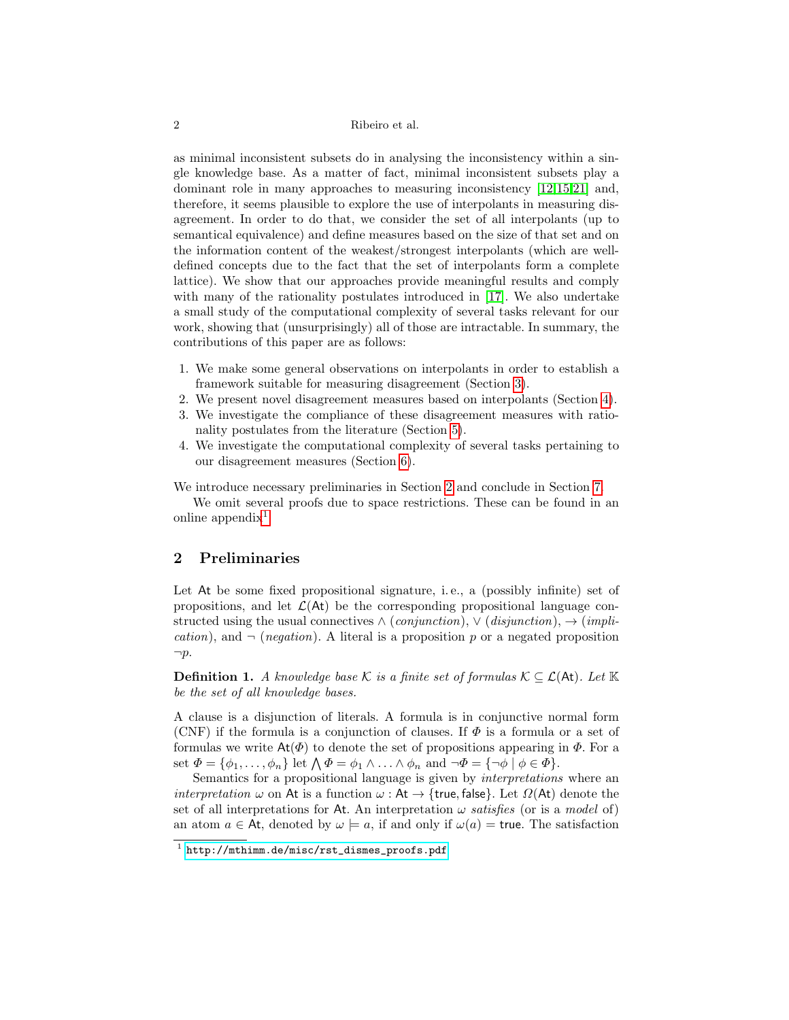as minimal inconsistent subsets do in analysing the inconsistency within a single knowledge base. As a matter of fact, minimal inconsistent subsets play a dominant role in many approaches to measuring inconsistency [\[12,](#page-12-11)[15,](#page-12-12)[21\]](#page-12-13) and, therefore, it seems plausible to explore the use of interpolants in measuring disagreement. In order to do that, we consider the set of all interpolants (up to semantical equivalence) and define measures based on the size of that set and on the information content of the weakest/strongest interpolants (which are welldefined concepts due to the fact that the set of interpolants form a complete lattice). We show that our approaches provide meaningful results and comply with many of the rationality postulates introduced in [\[17\]](#page-12-4). We also undertake a small study of the computational complexity of several tasks relevant for our work, showing that (unsurprisingly) all of those are intractable. In summary, the contributions of this paper are as follows:

- 1. We make some general observations on interpolants in order to establish a framework suitable for measuring disagreement (Section [3\)](#page-2-0).
- 2. We present novel disagreement measures based on interpolants (Section [4\)](#page-5-0).
- 3. We investigate the compliance of these disagreement measures with rationality postulates from the literature (Section [5\)](#page-7-0).
- 4. We investigate the computational complexity of several tasks pertaining to our disagreement measures (Section [6\)](#page-9-0).

We introduce necessary preliminaries in Section [2](#page-1-0) and conclude in Section [7.](#page-11-4)

We omit several proofs due to space restrictions. These can be found in an online appendix<sup>[1](#page-1-1)</sup>.

#### <span id="page-1-0"></span>2 Preliminaries

Let At be some fixed propositional signature, i.e., a (possibly infinite) set of propositions, and let  $\mathcal{L}(\mathsf{At})$  be the corresponding propositional language constructed using the usual connectives  $\land$  (conjunction),  $\lor$  (disjunction),  $\rightarrow$  (impli*cation*), and  $\neg$  (*negation*). A literal is a proposition p or a negated proposition  $\neg p$ .

**Definition 1.** A knowledge base K is a finite set of formulas  $K \subseteq \mathcal{L}(A_t)$ . Let  $K$ be the set of all knowledge bases.

A clause is a disjunction of literals. A formula is in conjunctive normal form (CNF) if the formula is a conjunction of clauses. If  $\Phi$  is a formula or a set of formulas we write  $\text{At}(\Phi)$  to denote the set of propositions appearing in  $\Phi$ . For a set  $\Phi = {\phi_1, \ldots, \phi_n}$  let  $\bigwedge \Phi = \phi_1 \wedge \ldots \wedge \phi_n$  and  $\neg \Phi = {\neg \phi \mid \phi \in \Phi}$ .

Semantics for a propositional language is given by interpretations where an interpretation  $\omega$  on At is a function  $\omega$ : At  $\rightarrow$  {true, false}. Let  $\Omega$ (At) denote the set of all interpretations for At. An interpretation  $\omega$  satisfies (or is a model of) an atom  $a \in At$ , denoted by  $\omega \models a$ , if and only if  $\omega(a) = \text{true}$ . The satisfaction

<span id="page-1-1"></span><sup>1</sup> [http://mthimm.de/misc/rst\\_dismes\\_proofs.pdf](http://mthimm.de/misc/rst_dismes_proofs.pdf)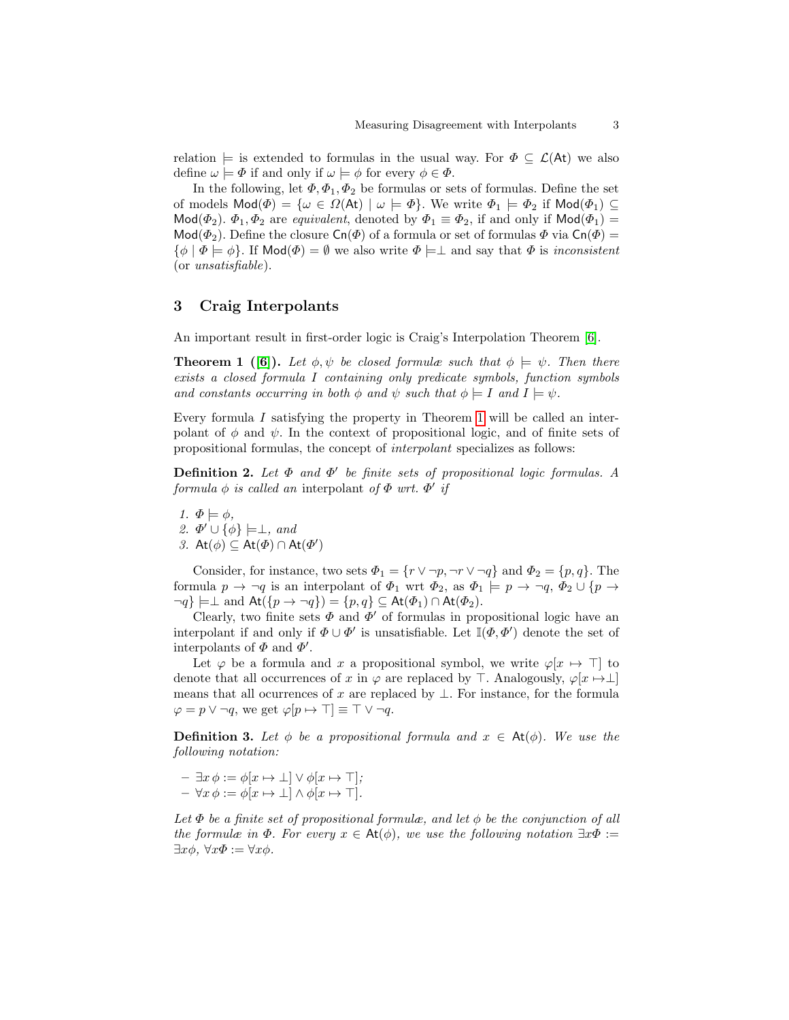relation  $\models$  is extended to formulas in the usual way. For  $\Phi \subseteq \mathcal{L}(At)$  we also define  $\omega \models \Phi$  if and only if  $\omega \models \phi$  for every  $\phi \in \Phi$ .

In the following, let  $\Phi$ ,  $\Phi$ <sub>1</sub>,  $\Phi$ <sub>2</sub> be formulas or sets of formulas. Define the set of models  $\text{Mod}(\Phi) = \{ \omega \in \Omega(\text{At}) \mid \omega \models \Phi \}.$  We write  $\Phi_1 \models \Phi_2$  if  $\text{Mod}(\Phi_1) \subseteq$ Mod( $\Phi_2$ ).  $\Phi_1, \Phi_2$  are *equivalent*, denoted by  $\Phi_1 \equiv \Phi_2$ , if and only if Mod( $\Phi_1$ ) = Mod( $\Phi_2$ ). Define the closure  $\mathsf{Cn}(\Phi)$  of a formula or set of formulas  $\Phi$  via  $\mathsf{Cn}(\Phi)$  =  $\{\phi \mid \Phi \models \phi\}.$  If  $\mathsf{Mod}(\Phi) = \emptyset$  we also write  $\Phi \models \bot$  and say that  $\Phi$  is inconsistent (or unsatisfiable).

### <span id="page-2-0"></span>3 Craig Interpolants

<span id="page-2-1"></span>An important result in first-order logic is Craig's Interpolation Theorem [\[6\]](#page-12-10).

**Theorem 1** ([\[6\]](#page-12-10)). Let  $\phi, \psi$  be closed formulæ such that  $\phi \models \psi$ . Then there exists a closed formula I containing only predicate symbols, function symbols and constants occurring in both  $\phi$  and  $\psi$  such that  $\phi \models I$  and  $I \models \psi$ .

<span id="page-2-2"></span>Every formula I satisfying the property in Theorem [1](#page-2-1) will be called an interpolant of  $\phi$  and  $\psi$ . In the context of propositional logic, and of finite sets of propositional formulas, the concept of interpolant specializes as follows:

**Definition 2.** Let  $\Phi$  and  $\Phi'$  be finite sets of propositional logic formulas. A formula  $\phi$  is called an interpolant of  $\Phi$  wrt.  $\Phi'$  if

1.  $\Phi \models \phi$ , 2.  $\Phi' \cup {\phi} \models \perp, \text{ and}$ 3. At $(\phi) \subseteq$  At $(\Phi) \cap$  At $(\Phi')$ 

Consider, for instance, two sets  $\Phi_1 = \{r \lor \neg p, \neg r \lor \neg q\}$  and  $\Phi_2 = \{p, q\}$ . The formula  $p \to \neg q$  is an interpolant of  $\Phi_1$  wrt  $\Phi_2$ , as  $\Phi_1 \models p \to \neg q$ ,  $\Phi_2 \cup \{p \to \emptyset\}$  $\neg q$ }  $\models \perp$  and  $\text{At}(\{p \rightarrow \neg q\}) = \{p, q\} \subseteq \text{At}(\Phi_1) \cap \text{At}(\Phi_2).$ 

Clearly, two finite sets  $\Phi$  and  $\Phi'$  of formulas in propositional logic have an interpolant if and only if  $\Phi \cup \Phi'$  is unsatisfiable. Let  $\mathbb{I}(\Phi, \Phi')$  denote the set of interpolants of  $\Phi$  and  $\Phi'$ .

Let  $\varphi$  be a formula and x a propositional symbol, we write  $\varphi[x \mapsto \top]$  to denote that all occurrences of x in  $\varphi$  are replaced by  $\top$ . Analogously,  $\varphi[x \mapsto \bot]$ means that all ocurrences of x are replaced by  $\bot$ . For instance, for the formula  $\varphi = p \vee \neg q$ , we get  $\varphi[p \mapsto \top] \equiv \top \vee \neg q$ .

**Definition 3.** Let  $\phi$  be a propositional formula and  $x \in At(\phi)$ . We use the following notation:

 $- \exists x \, \phi := \phi[x \mapsto \bot] \vee \phi[x \mapsto \top];$  $- \forall x \, \phi := \phi[x \mapsto \bot] \wedge \phi[x \mapsto \top].$ 

Let  $\Phi$  be a finite set of propositional formulæ, and let  $\phi$  be the conjunction of all the formulæ in  $\Phi$ . For every  $x \in At(\phi)$ , we use the following notation  $\exists x \Phi :=$  $\exists x \phi, \forall x \Phi := \forall x \phi.$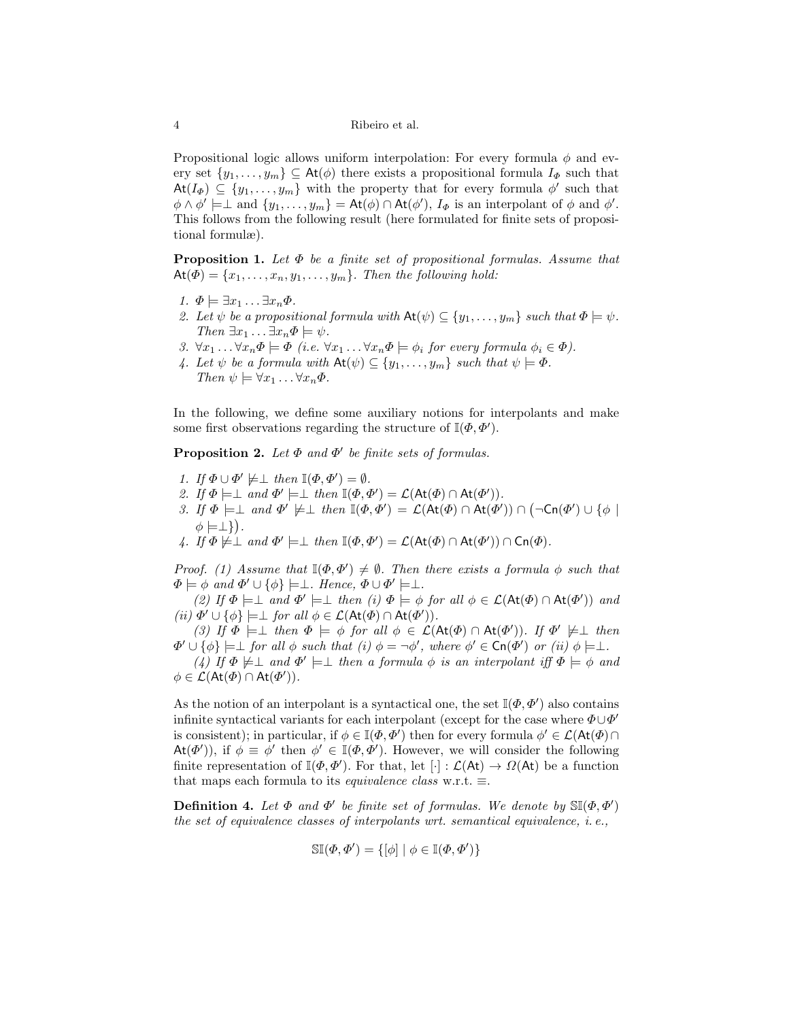Propositional logic allows uniform interpolation: For every formula  $\phi$  and every set  $\{y_1, \ldots, y_m\} \subseteq \mathsf{At}(\phi)$  there exists a propositional formula  $I_{\Phi}$  such that  $\mathsf{At}(I_{\Phi}) \subseteq \{y_1, \ldots, y_m\}$  with the property that for every formula  $\phi'$  such that  $\phi \wedge \phi' \models \perp \text{ and } \{y_1, \ldots, y_m\} = \mathsf{At}(\phi) \cap \mathsf{At}(\phi'), I_{\Phi} \text{ is an interpolant of } \phi \text{ and } \phi'.$ This follows from the following result (here formulated for finite sets of propositional formulæ).

**Proposition 1.** Let  $\Phi$  be a finite set of propositional formulas. Assume that  $At(\Phi) = \{x_1, \ldots, x_n, y_1, \ldots, y_m\}$ . Then the following hold:

- 1.  $\Phi \models \exists x_1 \dots \exists x_n \Phi$ .
- 2. Let  $\psi$  be a propositional formula with  $\mathsf{At}(\psi) \subseteq \{y_1, \ldots, y_m\}$  such that  $\Phi \models \psi$ . Then  $\exists x_1 \ldots \exists x_n \Phi \models \psi$ .
- 3.  $\forall x_1 \dots \forall x_n \Phi \models \Phi$  (i.e.  $\forall x_1 \dots \forall x_n \Phi \models \phi_i$  for every formula  $\phi_i \in \Phi$ ).
- 4. Let  $\psi$  be a formula with  $\mathsf{At}(\psi) \subseteq \{y_1, \ldots, y_m\}$  such that  $\psi \models \Phi$ . Then  $\psi \models \forall x_1 \dots \forall x_n \Phi$ .

In the following, we define some auxiliary notions for interpolants and make some first observations regarding the structure of  $\mathbb{I}(\Phi, \Phi')$ .

**Proposition 2.** Let  $\Phi$  and  $\Phi'$  be finite sets of formulas.

- 1. If  $\Phi \cup \Phi' \not\models \perp \text{ then } \mathbb{I}(\Phi, \Phi') = \emptyset$ .
- 2. If  $\Phi \models \bot$  and  $\Phi' \models \bot$  then  $\mathbb{I}(\Phi, \Phi') = \mathcal{L}(\text{At}(\Phi) \cap \text{At}(\Phi')).$
- 3. If  $\Phi \models \bot$  and  $\Phi' \not\models \bot$  then  $\mathbb{I}(\Phi, \Phi') = \mathcal{L}(\mathsf{At}(\Phi) \cap \mathsf{At}(\Phi')) \cap (\neg \mathsf{Cn}(\Phi') \cup \{\phi \mid \exists \Phi \in \mathcal{L}(\mathsf{At}(\Phi) \cap \mathsf{At}(\Phi'))\}$  $\phi \models \perp$ }).
- 4. If  $\Phi \not\models \bot$  and  $\Phi' \models \bot$  then  $\mathbb{I}(\Phi, \Phi') = \mathcal{L}(\mathsf{At}(\Phi) \cap \mathsf{At}(\Phi')) \cap \mathsf{Cn}(\Phi)$ .

Proof. (1) Assume that  $\mathbb{I}(\Phi, \Phi') \neq \emptyset$ . Then there exists a formula  $\phi$  such that  $\Phi \models \phi \text{ and } \Phi' \cup \{\phi\} \models \bot. \text{ Hence, } \Phi \cup \Phi' \models \bot.$ 

(2) If  $\Phi \models \bot$  and  $\Phi' \models \bot$  then (i)  $\Phi \models \phi$  for all  $\phi \in \mathcal{L}(\mathsf{At}(\Phi) \cap \mathsf{At}(\Phi'))$  and (ii)  $\Phi' \cup \{\phi\} \models \perp \text{ for all } \phi \in \mathcal{L}(\mathsf{At}(\Phi) \cap \mathsf{At}(\Phi')).$ 

(3) If  $\Phi \models \bot$  then  $\Phi \models \phi$  for all  $\phi \in \mathcal{L}(\mathsf{At}(\Phi) \cap \mathsf{At}(\Phi'))$ . If  $\Phi' \not\models \bot$  then  $\Phi' \cup {\phi} \models \bot$  for all  $\phi$  such that  $(i) \phi = \neg \phi'$ , where  $\phi' \in \mathsf{Cn}(\Phi')$  or  $(ii) \phi \models \bot$ .

(4) If  $\Phi \not\models \bot$  and  $\Phi' \models \bot$  then a formula  $\phi$  is an interpolant iff  $\Phi \models \phi$  and  $\phi \in \mathcal{L}(\mathsf{At}(\varPhi) \cap \mathsf{At}(\varPhi'))$ .

As the notion of an interpolant is a syntactical one, the set  $\mathbb{I}(\Phi, \Phi')$  also contains infinite syntactical variants for each interpolant (except for the case where  $\Phi \cup \Phi'$ is consistent); in particular, if  $\phi \in \mathbb{I}(\Phi, \Phi')$  then for every formula  $\phi' \in \mathcal{L}(\mathsf{At}(\Phi) \cap$ At( $\Phi'$ )), if  $\phi \equiv \phi'$  then  $\phi' \in \mathbb{I}(\Phi, \Phi')$ . However, we will consider the following finite representation of  $\mathbb{I}(\Phi, \Phi')$ . For that, let  $[\cdot] : \mathcal{L}(\mathsf{At}) \to \Omega(\mathsf{At})$  be a function that maps each formula to its *equivalence class* w.r.t.  $\equiv$ .

**Definition 4.** Let  $\Phi$  and  $\Phi'$  be finite set of formulas. We denote by  $\mathbb{S}(\Phi, \Phi')$ the set of equivalence classes of interpolants wrt. semantical equivalence, i. e.,

$$
\mathbb{SI}(\Phi, \Phi') = \{ [\phi] \mid \phi \in \mathbb{I}(\Phi, \Phi') \}
$$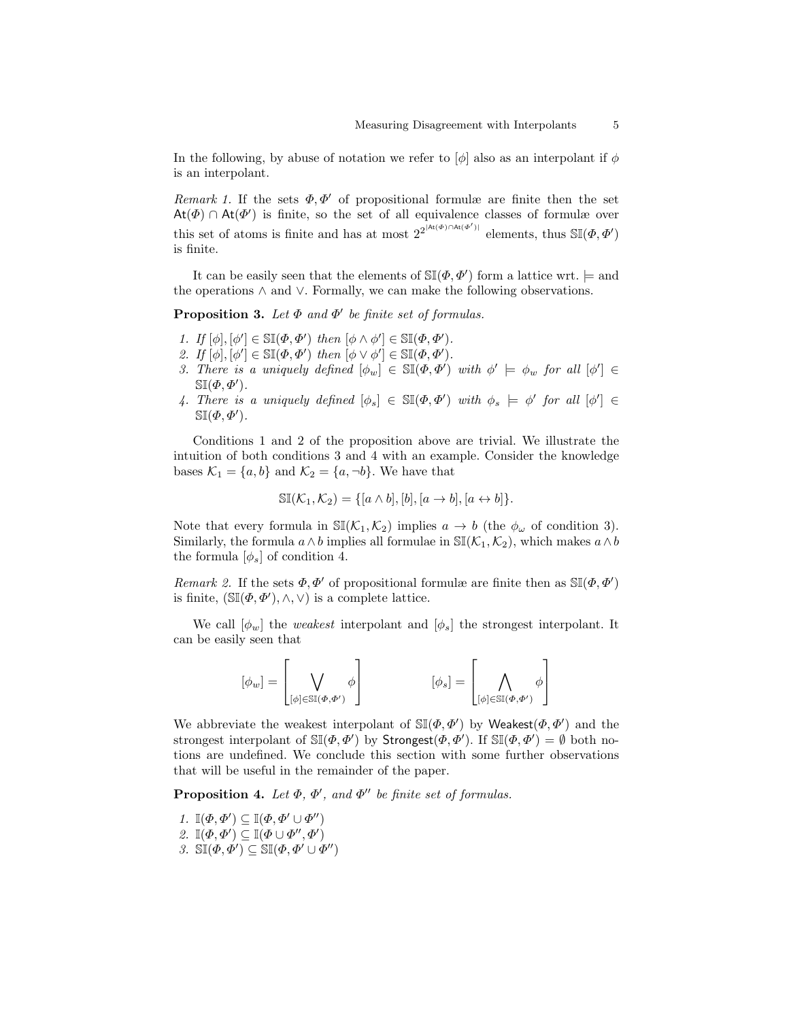In the following, by abuse of notation we refer to  $[\phi]$  also as an interpolant if  $\phi$ is an interpolant.

Remark 1. If the sets  $\Phi, \Phi'$  of propositional formulæ are finite then the set  $\text{At}(\Phi) \cap \text{At}(\Phi')$  is finite, so the set of all equivalence classes of formulæ over this set of atoms is finite and has at most  $2^{2^{|\text{At}(\Phi) \cap \text{At}(\Phi')|}}$  elements, thus  $\mathbb{S}(\Phi, \Phi')$ is finite.

It can be easily seen that the elements of  $\mathbb{SI}(\Phi, \Phi')$  form a lattice wrt.  $\models$  and the operations ∧ and ∨. Formally, we can make the following observations.

**Proposition 3.** Let  $\Phi$  and  $\Phi'$  be finite set of formulas.

- 1. If  $[\phi], [\phi'] \in \mathbb{SI}(\Phi, \Phi')$  then  $[\phi \wedge \phi'] \in \mathbb{SI}(\Phi, \Phi')$ .
- 2. If  $[\phi], [\phi'] \in \mathbb{SI}(\Phi, \Phi')$  then  $[\phi \vee \phi'] \in \mathbb{SI}(\Phi, \Phi').$
- 3. There is a uniquely defined  $[\phi_w] \in \mathbb{SI}(\Phi, \Phi')$  with  $\phi' \models \phi_w$  for all  $[\phi'] \in$  $\mathbb{SI}(\Phi, \Phi').$
- 4. There is a uniquely defined  $[\phi_s] \in \mathbb{S}(\mathcal{P}, \Phi')$  with  $\phi_s \models \phi'$  for all  $[\phi'] \in$  $\mathbb{SI}(\Phi, \Phi').$

Conditions 1 and 2 of the proposition above are trivial. We illustrate the intuition of both conditions 3 and 4 with an example. Consider the knowledge bases  $\mathcal{K}_1 = \{a, b\}$  and  $\mathcal{K}_2 = \{a, \neg b\}$ . We have that

$$
\mathbb{SI}(\mathcal{K}_1, \mathcal{K}_2) = \{ [a \wedge b], [b], [a \to b], [a \leftrightarrow b] \}.
$$

Note that every formula in  $\mathbb{S}(\mathcal{K}_1,\mathcal{K}_2)$  implies  $a \to b$  (the  $\phi_\omega$  of condition 3). Similarly, the formula  $a \wedge b$  implies all formulae in  $\mathbb{SI}(\mathcal{K}_1, \mathcal{K}_2)$ , which makes  $a \wedge b$ the formula  $[\phi_s]$  of condition 4.

Remark 2. If the sets  $\Phi, \Phi'$  of propositional formulæ are finite then as  $\mathbb{S}(\Phi, \Phi')$ is finite,  $(\mathbb{S}(\phi, \phi'), \wedge, \vee)$  is a complete lattice.

We call  $[\phi_w]$  the *weakest* interpolant and  $[\phi_s]$  the strongest interpolant. It can be easily seen that

$$
[\phi_w] = \left[ \bigvee_{[\phi] \in \mathbb{SI}(\Phi, \Phi')} \phi \right] \qquad [\phi_s] = \left[ \bigwedge_{[\phi] \in \mathbb{SI}(\Phi, \Phi')} \phi \right]
$$

We abbreviate the weakest interpolant of  $\mathbb{SI}(\Phi, \Phi')$  by Weakest $(\Phi, \Phi')$  and the strongest interpolant of  $\mathbb{S}(\phi, \phi')$  by Strongest $(\phi, \phi')$ . If  $\mathbb{S}(\phi, \phi') = \emptyset$  both notions are undefined. We conclude this section with some further observations that will be useful in the remainder of the paper.

**Proposition 4.** Let  $\Phi$ ,  $\Phi'$ , and  $\Phi''$  be finite set of formulas.

1.  $\mathbb{I}(\Phi, \Phi') \subseteq \mathbb{I}(\Phi, \Phi' \cup \Phi'')$ 2.  $\mathbb{I}(\Phi,\Phi')\subseteq \mathbb{I}(\Phi\cup\Phi'',\Phi')$ 3.  $\mathbb{S}(\phi, \phi') \subseteq \mathbb{S}(\phi, \phi' \cup \phi'')$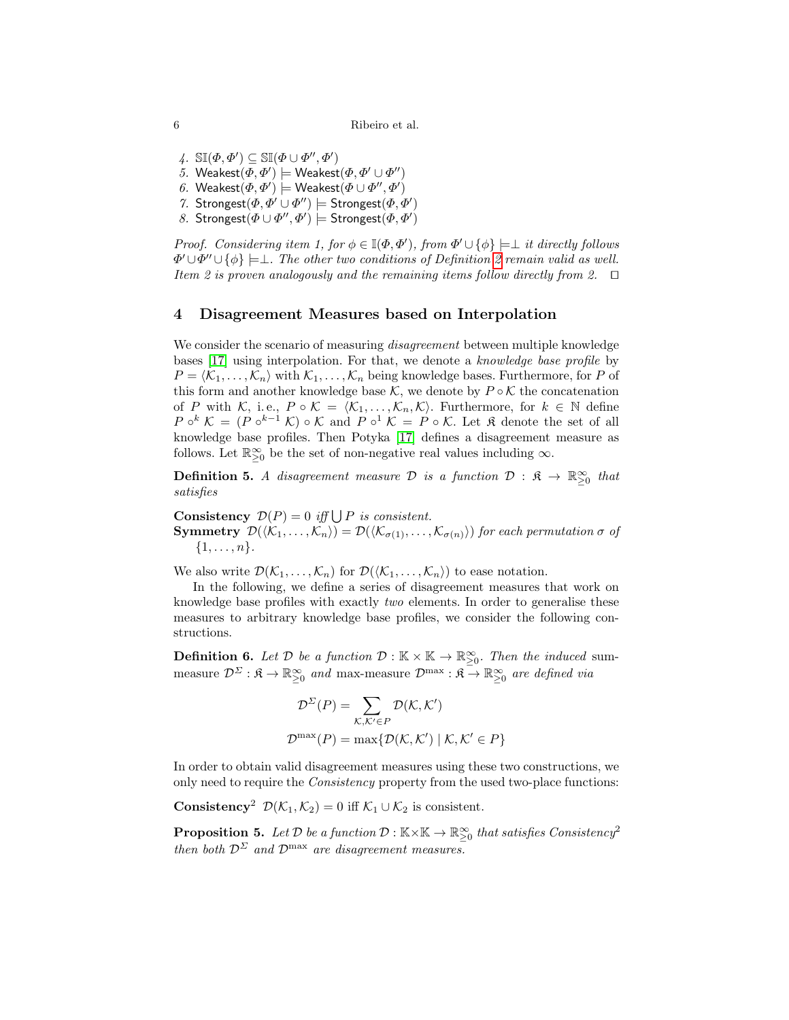4.  $\mathbb{SI}(\Phi, \Phi') \subseteq \mathbb{SI}(\Phi \cup \Phi'', \Phi')$ 5. Weakest $(\varPhi, \varPhi') \models$  Weakest $(\varPhi, \varPhi' \cup \varPhi'')$ 6. Weakest $(\varPhi,\varPhi')\models \mathsf{Weakest}(\varPhi\cup\varPhi'',\varPhi')$ 

7. Strongest $(\Phi, \Phi' \cup \Phi'') \models$  Strongest $(\Phi, \Phi')$ 

8. Strongest $(\Phi \cup \Phi'', \Phi')$  = Strongest $(\Phi, \Phi')$ 

Proof. Considering item 1, for  $\phi \in \mathbb{I}(\Phi, \Phi')$ , from  $\Phi' \cup {\phi} \models \bot$  it directly follows  $\Phi' \cup \Phi'' \cup \{\phi\} \models \perp$ . The other two conditions of Definition [2](#page-2-2) remain valid as well. Item 2 is proven analogously and the remaining items follow directly from 2.  $\Box$ 

#### <span id="page-5-0"></span>4 Disagreement Measures based on Interpolation

We consider the scenario of measuring *disagreement* between multiple knowledge bases [\[17\]](#page-12-4) using interpolation. For that, we denote a knowledge base profile by  $P = \langle K_1, \ldots, K_n \rangle$  with  $K_1, \ldots, K_n$  being knowledge bases. Furthermore, for P of this form and another knowledge base  $\mathcal{K}$ , we denote by  $P \circ \mathcal{K}$  the concatenation of P with K, i.e.,  $P \circ \mathcal{K} = \langle \mathcal{K}_1, \ldots, \mathcal{K}_n, \mathcal{K} \rangle$ . Furthermore, for  $k \in \mathbb{N}$  define  $P \circ^k \mathcal{K} = (P \circ^{k-1} \mathcal{K}) \circ \mathcal{K}$  and  $P \circ^1 \mathcal{K} = P \circ \mathcal{K}$ . Let  $\mathfrak{K}$  denote the set of all knowledge base profiles. Then Potyka [\[17\]](#page-12-4) defines a disagreement measure as follows. Let  $\mathbb{R}_{\geq 0}^{\infty}$  be the set of non-negative real values including  $\infty$ .

**Definition 5.** A disagreement measure  $\mathcal{D}$  is a function  $\mathcal{D}$  :  $\mathfrak{K} \to \mathbb{R}^{\infty}_{\geq 0}$  that satisfies

**Consistency**  $\mathcal{D}(P) = 0$  iff  $\bigcup P$  is consistent. **Symmetry**  $\mathcal{D}(\langle \mathcal{K}_1, \ldots, \mathcal{K}_n \rangle) = \mathcal{D}(\langle \mathcal{K}_{\sigma(1)}, \ldots, \mathcal{K}_{\sigma(n)} \rangle)$  for each permutation  $\sigma$  of  $\{1, \ldots, n\}.$ 

We also write  $\mathcal{D}(\mathcal{K}_1,\ldots,\mathcal{K}_n)$  for  $\mathcal{D}(\langle\mathcal{K}_1,\ldots,\mathcal{K}_n\rangle)$  to ease notation.

In the following, we define a series of disagreement measures that work on knowledge base profiles with exactly two elements. In order to generalise these measures to arbitrary knowledge base profiles, we consider the following constructions.

**Definition 6.** Let  $\mathcal{D}$  be a function  $\mathcal{D} : \mathbb{K} \times \mathbb{K} \to \mathbb{R}_{\geq 0}^{\infty}$ . Then the induced summeasure  $\mathcal{D}^{\Sigma}:\mathfrak{K}\to\mathbb{R}_{\geq0}^{\infty}$  and max-measure  $\mathcal{D}^{\max}:\mathfrak{K}\to\mathbb{R}_{\geq0}^{\infty}$  are defined via

$$
\mathcal{D}^{\Sigma}(P) = \sum_{\mathcal{K},\mathcal{K}' \in P} \mathcal{D}(\mathcal{K},\mathcal{K}')
$$

$$
\mathcal{D}^{\max}(P) = \max \{ \mathcal{D}(\mathcal{K},\mathcal{K}') \mid \mathcal{K},\mathcal{K}' \in P \}
$$

In order to obtain valid disagreement measures using these two constructions, we only need to require the Consistency property from the used two-place functions:

**Consistency**<sup>2</sup>  $\mathcal{D}(\mathcal{K}_1, \mathcal{K}_2) = 0$  iff  $\mathcal{K}_1 \cup \mathcal{K}_2$  is consistent.

<span id="page-5-1"></span>**Proposition 5.** Let  $D$  be a function  $D : \mathbb{K} \times \mathbb{K} \to \mathbb{R}^{\infty}_{\geq 0}$  that satisfies Consistency<sup>2</sup> then both  $\mathcal{D}^{\Sigma}$  and  $\mathcal{D}^{\max}$  are disagreement measures.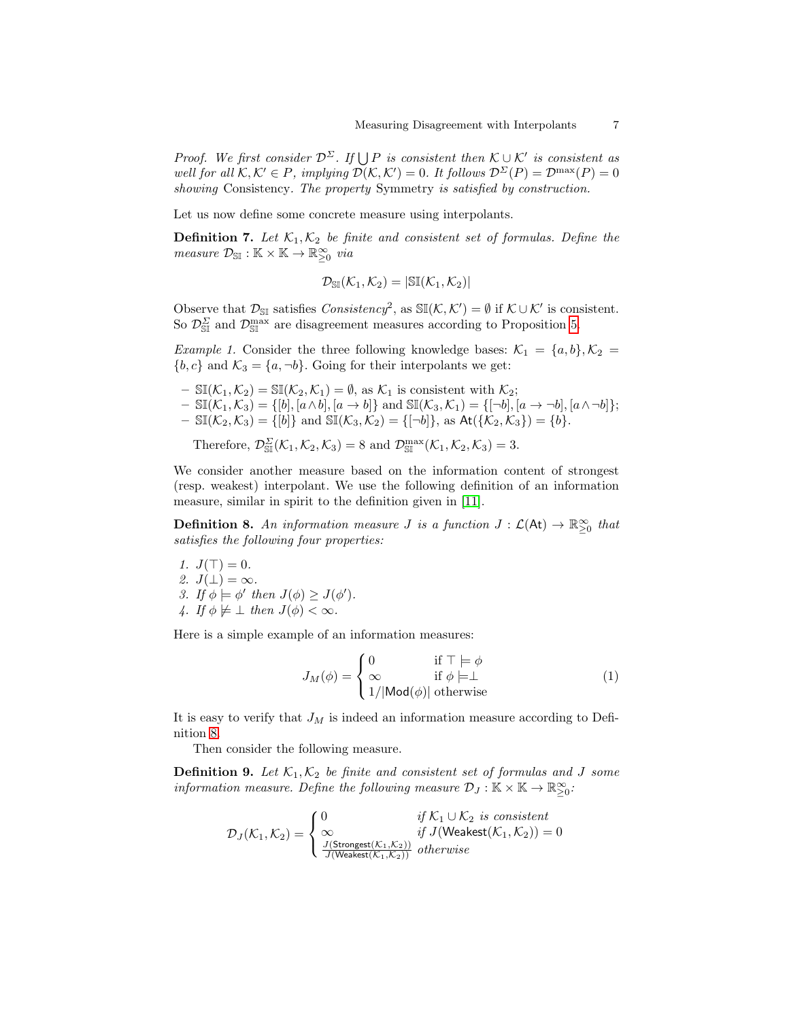Proof. We first consider  $\mathcal{D}^{\Sigma}$ . If  $\bigcup P$  is consistent then  $\mathcal{K} \cup \mathcal{K}'$  is consistent as well for all  $\mathcal{K}, \mathcal{K}' \in P$ , implying  $\mathcal{D}(\mathcal{K}, \mathcal{K}') = 0$ . It follows  $\mathcal{D}^{\Sigma}(P) = \mathcal{D}^{\max}(P) = 0$ showing Consistency. The property Symmetry is satisfied by construction.

Let us now define some concrete measure using interpolants.

**Definition 7.** Let  $\mathcal{K}_1, \mathcal{K}_2$  be finite and consistent set of formulas. Define the measure  $\mathcal{D}_{\mathbb{S}\mathbb{I}} : \mathbb{K} \times \mathbb{K} \to \mathbb{R}_{\geq 0}^{\infty}$  via

$$
\mathcal{D}_{\mathbb{S}\mathbb{I}}(\mathcal{K}_1,\mathcal{K}_2)=|\mathbb{S}\mathbb{I}(\mathcal{K}_1,\mathcal{K}_2)|
$$

Observe that  $\mathcal{D}_{\text{SI}}$  satisfies  $Consistency^2$ , as  $\mathbb{SI}(\mathcal{K}, \mathcal{K}') = \emptyset$  if  $\mathcal{K} \cup \mathcal{K}'$  is consistent. So  $\mathcal{D}_{\text{S}}^{\Sigma}$  and  $\mathcal{D}_{\text{S}}^{\max}$  are disagreement measures according to Proposition [5.](#page-5-1)

<span id="page-6-1"></span>*Example 1.* Consider the three following knowledge bases:  $\mathcal{K}_1 = \{a, b\}, \mathcal{K}_2 =$  ${b, c}$  and  $\mathcal{K}_3 = {a, \neg b}$ . Going for their interpolants we get:

- $-$  SI( $\mathcal{K}_1, \mathcal{K}_2$ ) = SI( $\mathcal{K}_2, \mathcal{K}_1$ ) =  $\emptyset$ , as  $\mathcal{K}_1$  is consistent with  $\mathcal{K}_2$ ;
- $-\mathbb{SI}(\mathcal{K}_1,\mathcal{K}_3)=\{[b],[a\wedge b],[a\rightarrow b]\}\$ and  $\mathbb{SI}(\mathcal{K}_3,\mathcal{K}_1)=\{[-b],[a\rightarrow \neg b],[a\wedge \neg b]\};$  $- \Im[(\mathcal{K}_2, \mathcal{K}_3) = \{ [b] \}$  and  $\Im[(\mathcal{K}_3, \mathcal{K}_2) = \{ [\neg b] \}, \text{ as } \text{At}(\{\mathcal{K}_2, \mathcal{K}_3\}) = \{ b \}.$

Therefore,  $\mathcal{D}^{\Sigma}_{\mathbb{S}\mathbb{I}}(\mathcal{K}_1,\mathcal{K}_2,\mathcal{K}_3)=8$  and  $\mathcal{D}^{\max}_{\mathbb{S}\mathbb{I}}(\mathcal{K}_1,\mathcal{K}_2,\mathcal{K}_3)=3$ .

We consider another measure based on the information content of strongest (resp. weakest) interpolant. We use the following definition of an information measure, similar in spirit to the definition given in [\[11\]](#page-12-14).

**Definition 8.** An information measure *J* is a function  $J: \mathcal{L}(\mathsf{At}) \to \mathbb{R}^{\infty}_{\geq 0}$  that satisfies the following four properties:

1.  $J(\top) = 0$ . 2.  $J(\perp) = \infty$ . 3. If  $\phi \models \phi'$  then  $J(\phi) \geq J(\phi')$ . 4. If  $\phi \not\models \bot$  then  $J(\phi) < \infty$ .

Here is a simple example of an information measures:

<span id="page-6-2"></span><span id="page-6-0"></span>
$$
J_M(\phi) = \begin{cases} 0 & \text{if } \top \models \phi \\ \infty & \text{if } \phi \models \bot \\ 1/|\text{Mod}(\phi)| \text{ otherwise} \end{cases}
$$
(1)

It is easy to verify that  $J_M$  is indeed an information measure according to Definition [8.](#page-6-0)

Then consider the following measure.

**Definition 9.** Let  $\mathcal{K}_1, \mathcal{K}_2$  be finite and consistent set of formulas and J some information measure. Define the following measure  $\mathcal{D}_J : \mathbb{K} \times \mathbb{K} \to \mathbb{R}_{\geq 0}^{\infty}$ .

$$
\mathcal{D}_J(\mathcal{K}_1,\mathcal{K}_2) = \begin{cases} 0 & \text{if } \mathcal{K}_1 \cup \mathcal{K}_2 \text{ is consistent} \\ \infty & \text{if } J(\text{Weakest}(\mathcal{K}_1,\mathcal{K}_2)) = 0 \\ \frac{J(\text{Strongest}(\mathcal{K}_1,\mathcal{K}_2))}{J(\text{Weakest}(\mathcal{K}_1,\mathcal{K}_2))} & otherwise \end{cases}
$$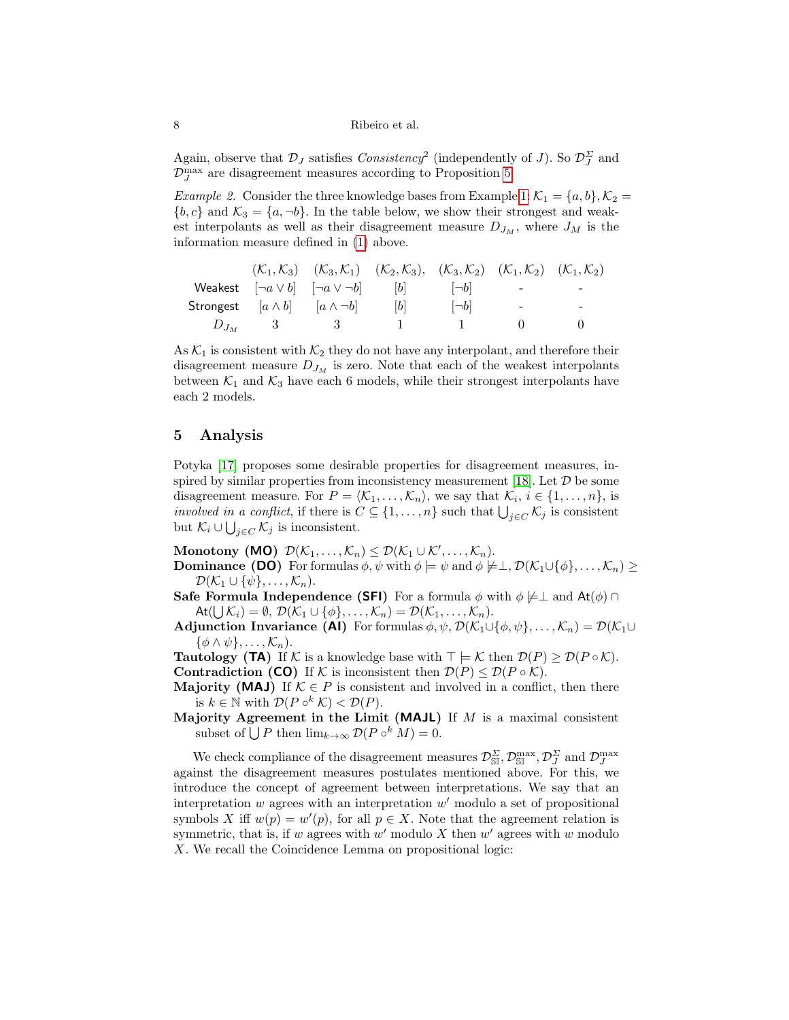Again, observe that  $\mathcal{D}_J$  satisfies  $Consistency^2$  (independently of J). So  $\mathcal{D}_J^{\Sigma}$  and  $\mathcal{D}_J^{\max}$  are disagreement measures according to Proposition [5.](#page-5-1)

*Example 2.* Consider the three knowledge bases from Example [1:](#page-6-1)  $\mathcal{K}_1 = \{a, b\}, \mathcal{K}_2 =$  ${b, c}$  and  $\mathcal{K}_3 = {a, \neg b}$ . In the table below, we show their strongest and weakest interpolants as well as their disagreement measure  $D_{J_M}$ , where  $J_M$  is the information measure defined in [\(1\)](#page-6-2) above.

|             |                                              | $(\mathcal{K}_1, \mathcal{K}_3)$ $(\mathcal{K}_3, \mathcal{K}_1)$ $(\mathcal{K}_2, \mathcal{K}_3)$ , $(\mathcal{K}_3, \mathcal{K}_2)$ $(\mathcal{K}_1, \mathcal{K}_2)$ $(\mathcal{K}_1, \mathcal{K}_2)$ |              |                          |                          |
|-------------|----------------------------------------------|---------------------------------------------------------------------------------------------------------------------------------------------------------------------------------------------------------|--------------|--------------------------|--------------------------|
|             |                                              | Weakest $\begin{bmatrix} -a \vee b & \vert -a \vee \neg b \end{bmatrix}$ $\begin{bmatrix} b & \vert -b \end{bmatrix}$                                                                                   |              | <b>Contract Contract</b> | $\overline{\phantom{a}}$ |
|             | Strongest $[a \wedge b]$ $[a \wedge \neg b]$ | b                                                                                                                                                                                                       | $\Box b$     | $\overline{\phantom{a}}$ | -                        |
| $D_{J_M}$ 3 | $\sim$ 3                                     | $\mathbf{1}$                                                                                                                                                                                            | $\mathbf{1}$ |                          |                          |

As  $\mathcal{K}_1$  is consistent with  $\mathcal{K}_2$  they do not have any interpolant, and therefore their disagreement measure  $D_{J_M}$  is zero. Note that each of the weakest interpolants between  $\mathcal{K}_1$  and  $\mathcal{K}_3$  have each 6 models, while their strongest interpolants have each 2 models.

## <span id="page-7-0"></span>5 Analysis

Potyka [\[17\]](#page-12-4) proposes some desirable properties for disagreement measures, in-spired by similar properties from inconsistency measurement [\[18\]](#page-12-7). Let  $D$  be some disagreement measure. For  $P = \langle K_1, \ldots, K_n \rangle$ , we say that  $\mathcal{K}_i, i \in \{1, \ldots, n\}$ , is *involved in a conflict*, if there is  $C \subseteq \{1, \ldots, n\}$  such that  $\bigcup_{j \in C} \mathcal{K}_j$  is consistent but  $\mathcal{K}_i \cup \bigcup_{j \in C} \mathcal{K}_j$  is inconsistent.

Monotony (MO)  $\mathcal{D}(\mathcal{K}_1,\ldots,\mathcal{K}_n) \leq \mathcal{D}(\mathcal{K}_1 \cup \mathcal{K}',\ldots,\mathcal{K}_n).$ 

- **Dominance (DO)** For formulas  $\phi, \psi$  with  $\phi \models \psi$  and  $\phi \not\models \bot$ ,  $\mathcal{D}(\mathcal{K}_1 \cup {\phi}, \ldots, \mathcal{K}_n) \geq$  $\mathcal{D}(\mathcal{K}_1 \cup {\psi}, \ldots, \mathcal{K}_n).$
- **Safe Formula Independence (SFI)** For a formula  $\phi$  with  $\phi \not\models \bot$  and  $At(\phi) \cap$  $\mathsf{At}(\bigcup \mathcal{K}_i) = \emptyset, \, \mathcal{D}(\mathcal{K}_1 \cup \{\phi\}, \ldots, \mathcal{K}_n) = \mathcal{D}(\mathcal{K}_1, \ldots, \mathcal{K}_n).$
- Adjunction Invariance (AI) For formulas  $\phi, \psi, \mathcal{D}(\mathcal{K}_1 \cup \{\phi, \psi\}, \dots, \mathcal{K}_n) = \mathcal{D}(\mathcal{K}_1 \cup$  $\{\phi \wedge \psi\}, \ldots, \mathcal{K}_n$ ).

**Tautology (TA)** If K is a knowledge base with  $\top \models K$  then  $\mathcal{D}(P) \geq \mathcal{D}(P \circ K)$ .

Contradiction (CO) If K is inconsistent then  $\mathcal{D}(P) \leq \mathcal{D}(P \circ \mathcal{K})$ .

- **Majority (MAJ)** If  $K \in P$  is consistent and involved in a conflict, then there is  $k \in \mathbb{N}$  with  $\mathcal{D}(P \circ^k \mathcal{K}) < \mathcal{D}(P)$ .
- Majority Agreement in the Limit (MAJL) If  $M$  is a maximal consistent subset of  $\bigcup P$  then  $\lim_{k\to\infty} \mathcal{D}(P \circ^k M) = 0$ .

<span id="page-7-1"></span>We check compliance of the disagreement measures  $\mathcal{D}^{\Sigma}_{\mathbb{S}\mathbb{I}}, \mathcal{D}^{\max}_{\mathbb{S}\mathbb{I}}, \mathcal{D}^{\Sigma}_{J}$  and  $\mathcal{D}^{\max}_{J}$ against the disagreement measures postulates mentioned above. For this, we introduce the concept of agreement between interpretations. We say that an interpretation  $w$  agrees with an interpretation  $w'$  modulo a set of propositional symbols X iff  $w(p) = w'(p)$ , for all  $p \in X$ . Note that the agreement relation is symmetric, that is, if w agrees with  $w'$  modulo X then  $w'$  agrees with w modulo X. We recall the Coincidence Lemma on propositional logic: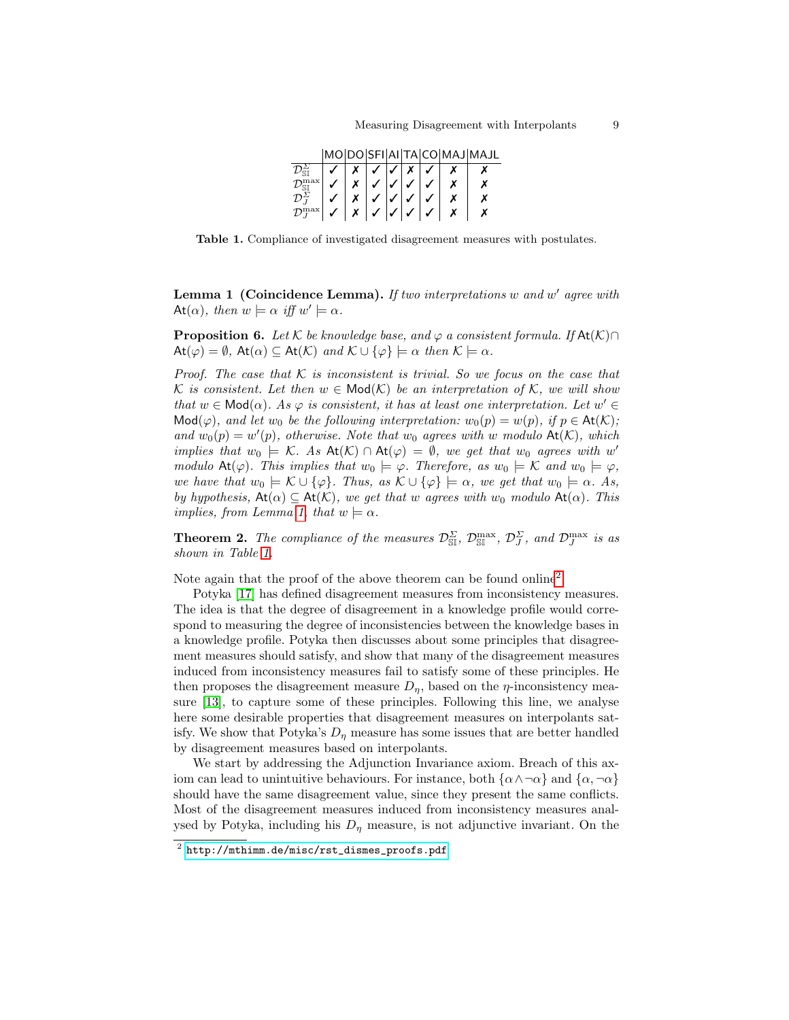|                               |  |  |  | MO DO SFI AI TA CO MAJ MAJL |
|-------------------------------|--|--|--|-----------------------------|
|                               |  |  |  |                             |
| T).                           |  |  |  |                             |
| $\mathcal{D}^{\Sigma}_{\tau}$ |  |  |  |                             |
| $\mathcal{D}_{\tau}^{\max}$   |  |  |  |                             |

<span id="page-8-0"></span>Table 1. Compliance of investigated disagreement measures with postulates.

**Lemma 1 (Coincidence Lemma).** If two interpretations  $w$  and  $w'$  agree with At( $\alpha$ ), then  $w \models \alpha$  iff  $w' \models \alpha$ .

**Proposition 6.** Let K be knowledge base, and  $\varphi$  a consistent formula. If At $(K) \cap$  $\mathsf{At}(\varphi) = \emptyset$ ,  $\mathsf{At}(\alpha) \subseteq \mathsf{At}(\mathcal{K})$  and  $\mathcal{K} \cup {\varphi} \models \alpha$  then  $\mathcal{K} \models \alpha$ .

Proof. The case that  $K$  is inconsistent is trivial. So we focus on the case that K is consistent. Let then  $w \in Mod(K)$  be an interpretation of K, we will show that  $w \in Mod(\alpha)$ . As  $\varphi$  is consistent, it has at least one interpretation. Let  $w' \in$ Mod( $\varphi$ ), and let w<sub>0</sub> be the following interpretation: w<sub>0</sub>(p) = w(p), if p  $\in$  At(K); and  $w_0(p) = w'(p)$ , otherwise. Note that  $w_0$  agrees with w modulo  $\text{At}(\mathcal{K})$ , which implies that  $w_0 \models K$ . As  $\text{At}(K) \cap \text{At}(\varphi) = \emptyset$ , we get that  $w_0$  agrees with w' modulo At( $\varphi$ ). This implies that  $w_0 \models \varphi$ . Therefore, as  $w_0 \models \mathcal{K}$  and  $w_0 \models \varphi$ , we have that  $w_0 \models K \cup \{\varphi\}$ . Thus, as  $K \cup \{\varphi\} \models \alpha$ , we get that  $w_0 \models \alpha$ . As, by hypothesis,  $At(\alpha) \subseteq At(\mathcal{K})$ , we get that w agrees with w<sub>0</sub> modulo  $At(\alpha)$ . This implies, from Lemma [1,](#page-7-1) that  $w \models \alpha$ .

**Theorem 2.** The compliance of the measures  $\mathcal{D}^{\Sigma}_{\mathbb{S}\mathbb{I}}$ ,  $\mathcal{D}^{\max}_{\mathbb{S}\mathbb{I}}$ ,  $\mathcal{D}^{\Sigma}_{J}$ , and  $\mathcal{D}^{\max}_{J}$  is as shown in Table [1.](#page-8-0)

Note again that the proof of the above theorem can be found online<sup>[2](#page-8-1)</sup>.

Potyka [\[17\]](#page-12-4) has defined disagreement measures from inconsistency measures. The idea is that the degree of disagreement in a knowledge profile would correspond to measuring the degree of inconsistencies between the knowledge bases in a knowledge profile. Potyka then discusses about some principles that disagreement measures should satisfy, and show that many of the disagreement measures induced from inconsistency measures fail to satisfy some of these principles. He then proposes the disagreement measure  $D_n$ , based on the  $\eta$ -inconsistency measure [\[13\]](#page-12-15), to capture some of these principles. Following this line, we analyse here some desirable properties that disagreement measures on interpolants satisfy. We show that Potyka's  $D_n$  measure has some issues that are better handled by disagreement measures based on interpolants.

We start by addressing the Adjunction Invariance axiom. Breach of this axiom can lead to unintuitive behaviours. For instance, both  $\{\alpha \wedge \neg \alpha\}$  and  $\{\alpha, \neg \alpha\}$ should have the same disagreement value, since they present the same conflicts. Most of the disagreement measures induced from inconsistency measures analysed by Potyka, including his  $D_n$  measure, is not adjunctive invariant. On the

<span id="page-8-1"></span> $^2$  [http://mthimm.de/misc/rst\\_dismes\\_proofs.pdf](http://mthimm.de/misc/rst_dismes_proofs.pdf)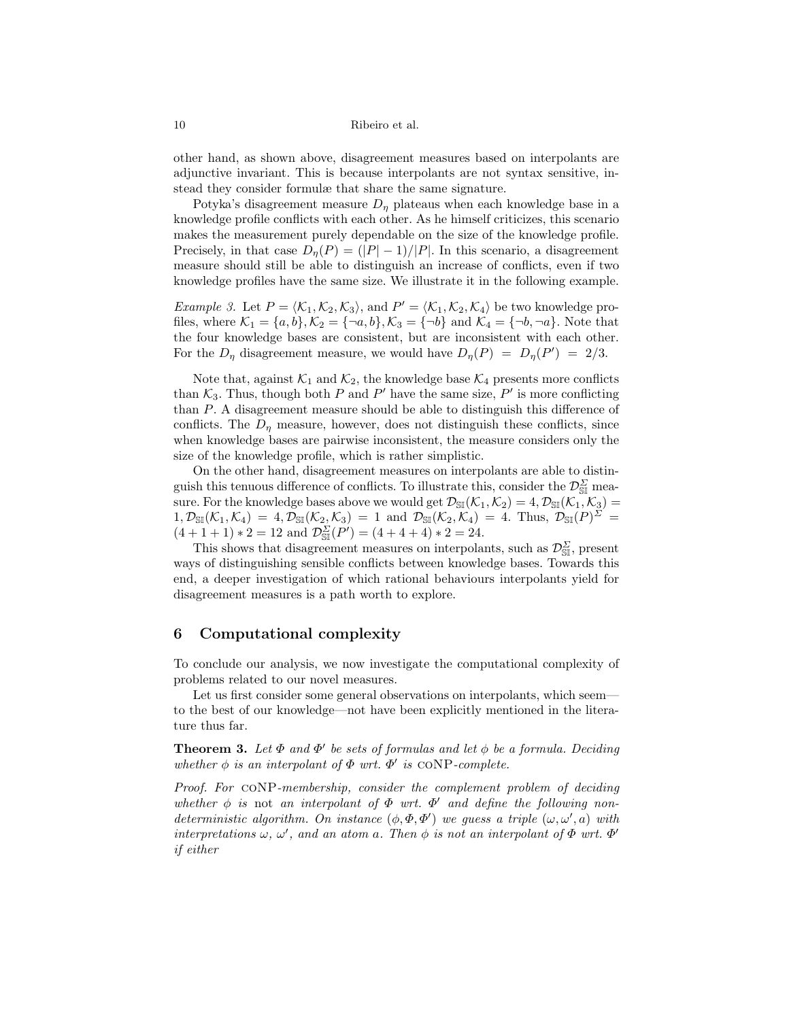other hand, as shown above, disagreement measures based on interpolants are adjunctive invariant. This is because interpolants are not syntax sensitive, instead they consider formulæ that share the same signature.

Potyka's disagreement measure  $D_n$  plateaus when each knowledge base in a knowledge profile conflicts with each other. As he himself criticizes, this scenario makes the measurement purely dependable on the size of the knowledge profile. Precisely, in that case  $D_n(P) = (|P| - 1)/|P|$ . In this scenario, a disagreement measure should still be able to distinguish an increase of conflicts, even if two knowledge profiles have the same size. We illustrate it in the following example.

*Example 3.* Let  $P = \langle K_1, K_2, K_3 \rangle$ , and  $P' = \langle K_1, K_2, K_4 \rangle$  be two knowledge profiles, where  $\mathcal{K}_1 = \{a, b\}, \mathcal{K}_2 = \{\neg a, b\}, \mathcal{K}_3 = \{\neg b\}$  and  $\mathcal{K}_4 = \{\neg b, \neg a\}.$  Note that the four knowledge bases are consistent, but are inconsistent with each other. For the  $D_{\eta}$  disagreement measure, we would have  $D_{\eta}(P) = D_{\eta}(P') = 2/3$ .

Note that, against  $\mathcal{K}_1$  and  $\mathcal{K}_2$ , the knowledge base  $\mathcal{K}_4$  presents more conflicts than  $\mathcal{K}_3$ . Thus, though both P and P' have the same size, P' is more conflicting than P. A disagreement measure should be able to distinguish this difference of conflicts. The  $D<sub>\eta</sub>$  measure, however, does not distinguish these conflicts, since when knowledge bases are pairwise inconsistent, the measure considers only the size of the knowledge profile, which is rather simplistic.

On the other hand, disagreement measures on interpolants are able to distinguish this tenuous difference of conflicts. To illustrate this, consider the  $\mathcal{D}_{\text{SI}}^{\Sigma}$  measure. For the knowledge bases above we would get  $\mathcal{D}_{\mathbb{S}I}(\mathcal{K}_1, \mathcal{K}_2) = 4$ ,  $\mathcal{D}_{\mathbb{S}I}(\mathcal{K}_1, \mathcal{K}_3) =$  $1, \mathcal{D}_{\mathbb{S}\mathbb{I}}(\mathcal{K}_1, \mathcal{K}_4) = 4, \mathcal{D}_{\mathbb{S}\mathbb{I}}(\mathcal{K}_2, \mathcal{K}_3) = 1$  and  $\mathcal{D}_{\mathbb{S}\mathbb{I}}(\mathcal{K}_2, \mathcal{K}_4) = 4$ . Thus,  $\mathcal{D}_{\mathbb{S}\mathbb{I}}(P)^{\Sigma} =$  $(4+1+1)*2=12$  and  $\mathcal{D}_{\text{SII}}^{\Sigma}(P')=(4+4+4)*2=24.$ 

This shows that disagreement measures on interpolants, such as  $\mathcal{D}_{\text{ST}}^{\Sigma}$ , present ways of distinguishing sensible conflicts between knowledge bases. Towards this end, a deeper investigation of which rational behaviours interpolants yield for disagreement measures is a path worth to explore.

### <span id="page-9-0"></span>6 Computational complexity

To conclude our analysis, we now investigate the computational complexity of problems related to our novel measures.

<span id="page-9-1"></span>Let us first consider some general observations on interpolants, which seem to the best of our knowledge—not have been explicitly mentioned in the literature thus far.

**Theorem 3.** Let  $\Phi$  and  $\Phi'$  be sets of formulas and let  $\phi$  be a formula. Deciding whether  $\phi$  is an interpolant of  $\Phi$  wrt.  $\Phi'$  is CONP-complete.

Proof. For coNP-membership, consider the complement problem of deciding whether  $\phi$  is not an interpolant of  $\Phi$  wrt.  $\Phi'$  and define the following nondeterministic algorithm. On instance  $(\phi, \Phi, \Phi')$  we guess a triple  $(\omega, \omega', a)$  with interpretations  $\omega, \omega'$ , and an atom a. Then  $\phi$  is not an interpolant of  $\Phi$  wrt.  $\Phi'$ if either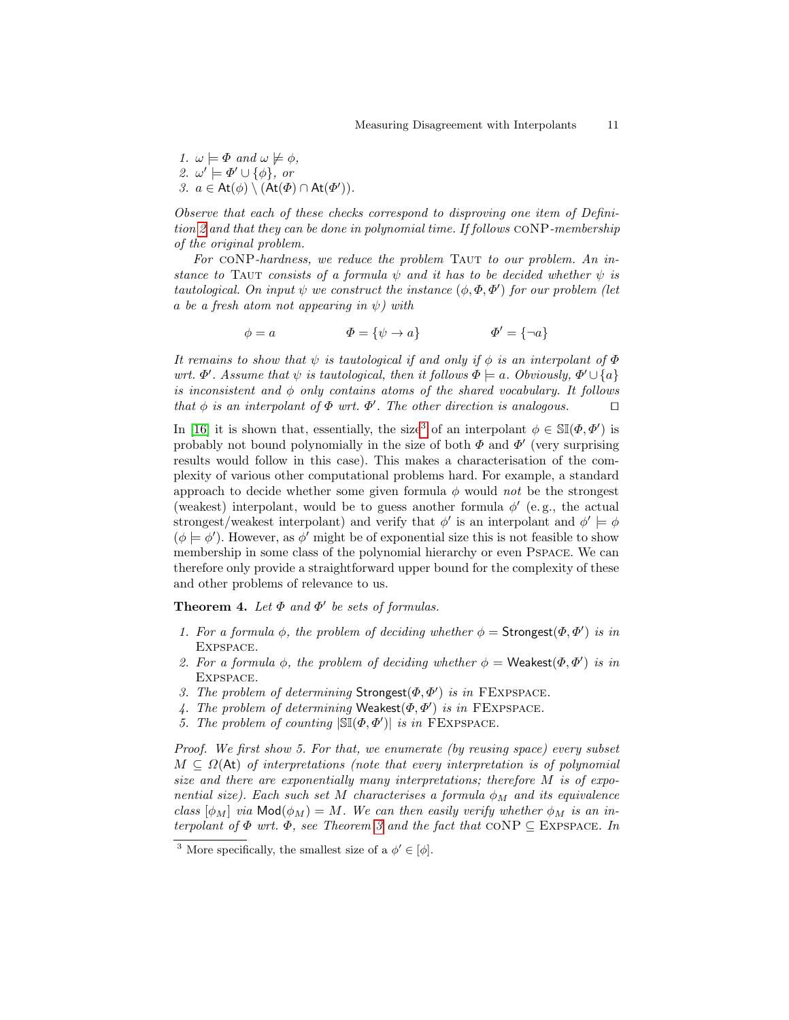1.  $\omega \models \Phi$  and  $\omega \not\models \phi$ , 2.  $\omega' \models \Phi' \cup \{\phi\},\$ or 3.  $a \in \mathsf{At}(\phi) \setminus (\mathsf{At}(\Phi) \cap \mathsf{At}(\Phi'))$ .

Observe that each of these checks correspond to disproving one item of Definition [2](#page-2-2) and that they can be done in polynomial time. If follows coNP-membership of the original problem.

For CONP-hardness, we reduce the problem TAUT to our problem. An instance to TAUT consists of a formula  $\psi$  and it has to be decided whether  $\psi$  is tautological. On input  $\psi$  we construct the instance  $(\phi, \Phi, \Phi')$  for our problem (let a be a fresh atom not appearing in  $\psi$ ) with

$$
\phi = a \qquad \qquad \Phi = \{\psi \to a\} \qquad \qquad \Phi' = \{\neg a\}
$$

It remains to show that  $\psi$  is tautological if and only if  $\phi$  is an interpolant of  $\Phi$ wrt.  $\Phi'$ . Assume that  $\psi$  is tautological, then it follows  $\Phi \models a$ . Obviously,  $\Phi' \cup \{a\}$ is inconsistent and  $\phi$  only contains atoms of the shared vocabulary. It follows that  $\phi$  is an interpolant of  $\Phi$  wrt.  $\Phi'$ . The other direction is analogous.

In [\[16\]](#page-12-16) it is shown that, essentially, the size<sup>[3](#page-10-0)</sup> of an interpolant  $\phi \in \mathbb{S}(\phi, \phi')$  is probably not bound polynomially in the size of both  $\Phi$  and  $\Phi'$  (very surprising results would follow in this case). This makes a characterisation of the complexity of various other computational problems hard. For example, a standard approach to decide whether some given formula  $\phi$  would not be the strongest (weakest) interpolant, would be to guess another formula  $\phi'$  (e.g., the actual strongest/weakest interpolant) and verify that  $\phi'$  is an interpolant and  $\phi' \models \phi$  $(\phi \models \phi')$ . However, as  $\phi'$  might be of exponential size this is not feasible to show membership in some class of the polynomial hierarchy or even Pspace. We can therefore only provide a straightforward upper bound for the complexity of these and other problems of relevance to us.

**Theorem 4.** Let  $\Phi$  and  $\Phi'$  be sets of formulas.

- 1. For a formula  $\phi$ , the problem of deciding whether  $\phi =$  Strongest $(\Phi, \Phi')$  is in Expspace.
- 2. For a formula  $\phi$ , the problem of deciding whether  $\phi =$  Weakest $(\Phi, \Phi')$  is in Expspace.
- 3. The problem of determining  $Strongest(\Phi, \Phi')$  is in FEXPSPACE.
- 4. The problem of determining Weakest $(\Phi, \Phi')$  is in FEXPSPACE.
- 5. The problem of counting  $|\mathbb{SI}(\Phi, \Phi')|$  is in FEXPSPACE.

Proof. We first show 5. For that, we enumerate (by reusing space) every subset  $M \subseteq \Omega(\mathsf{At})$  of interpretations (note that every interpretation is of polynomial size and there are exponentially many interpretations; therefore M is of exponential size). Each such set M characterises a formula  $\phi_M$  and its equivalence class  $[\phi_M]$  via Mod $(\phi_M) = M$ . We can then easily verify whether  $\phi_M$  is an interpolant of  $\Phi$  wrt.  $\Phi$ , see Theorem [3](#page-9-1) and the fact that CONP  $\subseteq$  EXPSPACE. In

<span id="page-10-0"></span><sup>&</sup>lt;sup>3</sup> More specifically, the smallest size of a  $\phi' \in [\phi]$ .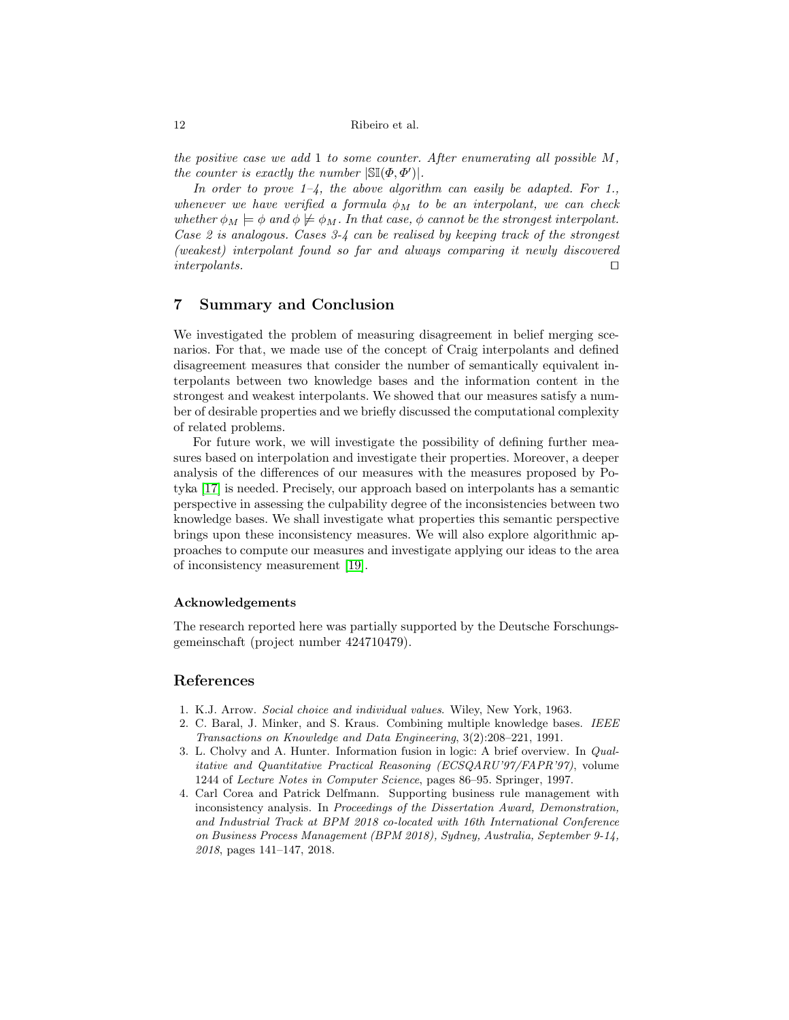the positive case we add 1 to some counter. After enumerating all possible  $M$ , the counter is exactly the number  $|\mathbb{S}(\Phi, \Phi')|$ .

In order to prove  $1-\frac{1}{4}$ , the above algorithm can easily be adapted. For 1., whenever we have verified a formula  $\phi_M$  to be an interpolant, we can check whether  $\phi_M \models \phi$  and  $\phi \not\models \phi_M$ . In that case,  $\phi$  cannot be the strongest interpolant. Case 2 is analogous. Cases 3-4 can be realised by keeping track of the strongest (weakest) interpolant found so far and always comparing it newly discovered  $interpolants.$ 

# <span id="page-11-4"></span>7 Summary and Conclusion

We investigated the problem of measuring disagreement in belief merging scenarios. For that, we made use of the concept of Craig interpolants and defined disagreement measures that consider the number of semantically equivalent interpolants between two knowledge bases and the information content in the strongest and weakest interpolants. We showed that our measures satisfy a number of desirable properties and we briefly discussed the computational complexity of related problems.

For future work, we will investigate the possibility of defining further measures based on interpolation and investigate their properties. Moreover, a deeper analysis of the differences of our measures with the measures proposed by Potyka [\[17\]](#page-12-4) is needed. Precisely, our approach based on interpolants has a semantic perspective in assessing the culpability degree of the inconsistencies between two knowledge bases. We shall investigate what properties this semantic perspective brings upon these inconsistency measures. We will also explore algorithmic approaches to compute our measures and investigate applying our ideas to the area of inconsistency measurement [\[19\]](#page-12-6).

#### Acknowledgements

The research reported here was partially supported by the Deutsche Forschungsgemeinschaft (project number 424710479).

#### References

- <span id="page-11-2"></span>1. K.J. Arrow. Social choice and individual values. Wiley, New York, 1963.
- <span id="page-11-0"></span>2. C. Baral, J. Minker, and S. Kraus. Combining multiple knowledge bases. IEEE Transactions on Knowledge and Data Engineering, 3(2):208–221, 1991.
- <span id="page-11-1"></span>3. L. Cholvy and A. Hunter. Information fusion in logic: A brief overview. In Qualitative and Quantitative Practical Reasoning (ECSQARU'97/FAPR'97), volume 1244 of Lecture Notes in Computer Science, pages 86–95. Springer, 1997.
- <span id="page-11-3"></span>4. Carl Corea and Patrick Delfmann. Supporting business rule management with inconsistency analysis. In Proceedings of the Dissertation Award, Demonstration, and Industrial Track at BPM 2018 co-located with 16th International Conference on Business Process Management (BPM 2018), Sydney, Australia, September 9-14, 2018, pages 141–147, 2018.